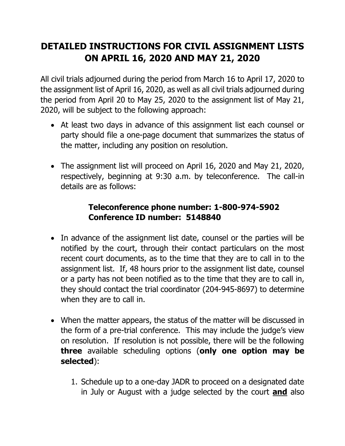## **DETAILED INSTRUCTIONS FOR CIVIL ASSIGNMENT LISTS ON APRIL 16, 2020 AND MAY 21, 2020**

All civil trials adjourned during the period from March 16 to April 17, 2020 to the assignment list of April 16, 2020, as well as all civil trials adjourned during the period from April 20 to May 25, 2020 to the assignment list of May 21, 2020, will be subject to the following approach:

- At least two days in advance of this assignment list each counsel or party should file a one-page document that summarizes the status of the matter, including any position on resolution.
- The assignment list will proceed on April 16, 2020 and May 21, 2020, respectively, beginning at 9:30 a.m. by teleconference. The call-in details are as follows:

## **Teleconference phone number: 1-800-974-5902 Conference ID number: 5148840**

- In advance of the assignment list date, counsel or the parties will be notified by the court, through their contact particulars on the most recent court documents, as to the time that they are to call in to the assignment list. If, 48 hours prior to the assignment list date, counsel or a party has not been notified as to the time that they are to call in, they should contact the trial coordinator (204-945-8697) to determine when they are to call in.
- When the matter appears, the status of the matter will be discussed in the form of a pre-trial conference. This may include the judge's view on resolution. If resolution is not possible, there will be the following **three** available scheduling options (**only one option may be selected**):
	- 1. Schedule up to a one-day JADR to proceed on a designated date in July or August with a judge selected by the court **and** also